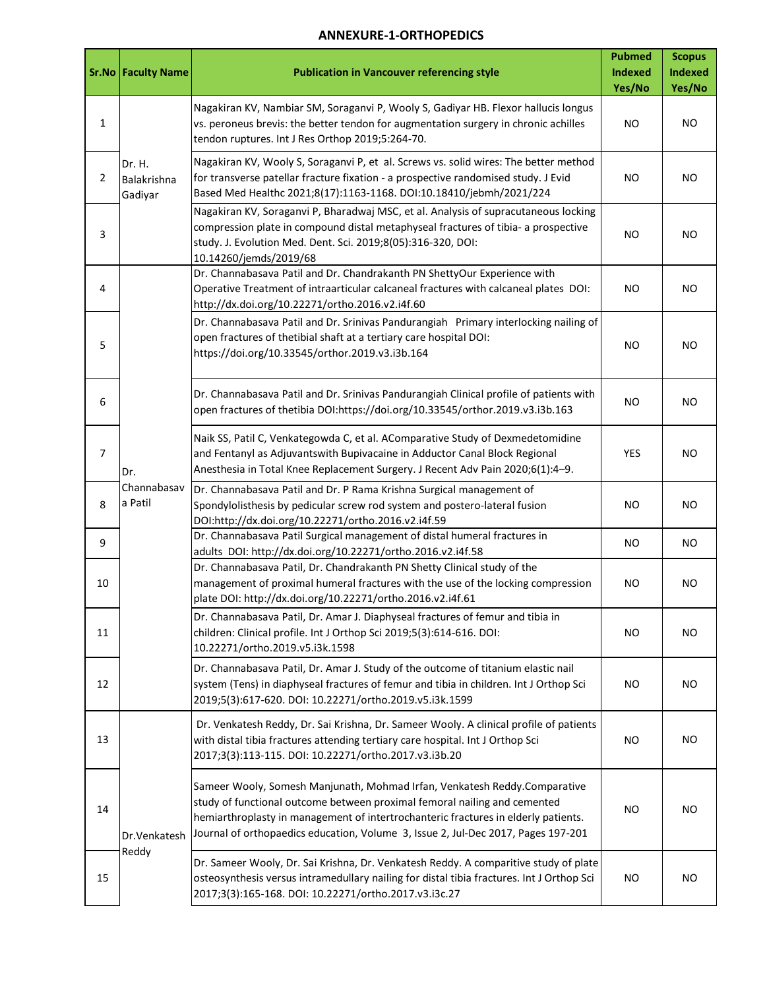## **ANNEXURE-1-ORTHOPEDICS**

|                | <b>Sr.No Faculty Name</b>        | <b>Publication in Vancouver referencing style</b>                                                                                                                                                                                                                                                                                 | <b>Pubmed</b><br>Indexed<br>Yes/No | <b>Scopus</b><br><b>Indexed</b><br>Yes/No |
|----------------|----------------------------------|-----------------------------------------------------------------------------------------------------------------------------------------------------------------------------------------------------------------------------------------------------------------------------------------------------------------------------------|------------------------------------|-------------------------------------------|
| 1              | Dr. H.<br>Balakrishna<br>Gadiyar | Nagakiran KV, Nambiar SM, Soraganvi P, Wooly S, Gadiyar HB. Flexor hallucis longus<br>vs. peroneus brevis: the better tendon for augmentation surgery in chronic achilles<br>tendon ruptures. Int J Res Orthop 2019;5:264-70.                                                                                                     | <b>NO</b>                          | <b>NO</b>                                 |
| $\overline{2}$ |                                  | Nagakiran KV, Wooly S, Soraganvi P, et al. Screws vs. solid wires: The better method<br>for transverse patellar fracture fixation - a prospective randomised study. J Evid<br>Based Med Healthc 2021;8(17):1163-1168. DOI:10.18410/jebmh/2021/224                                                                                 | <b>NO</b>                          | NO.                                       |
| 3              |                                  | Nagakiran KV, Soraganvi P, Bharadwaj MSC, et al. Analysis of supracutaneous locking<br>compression plate in compound distal metaphyseal fractures of tibia- a prospective<br>study. J. Evolution Med. Dent. Sci. 2019;8(05):316-320, DOI:<br>10.14260/jemds/2019/68                                                               | <b>NO</b>                          | NO                                        |
| 4              | Dr.<br>Channabasav<br>a Patil    | Dr. Channabasava Patil and Dr. Chandrakanth PN ShettyOur Experience with<br>Operative Treatment of intraarticular calcaneal fractures with calcaneal plates DOI:<br>http://dx.doi.org/10.22271/ortho.2016.v2.i4f.60                                                                                                               | NO                                 | NO.                                       |
| 5              |                                  | Dr. Channabasava Patil and Dr. Srinivas Pandurangiah Primary interlocking nailing of<br>open fractures of thetibial shaft at a tertiary care hospital DOI:<br>https://doi.org/10.33545/orthor.2019.v3.i3b.164                                                                                                                     | <b>NO</b>                          | <b>NO</b>                                 |
| 6              |                                  | Dr. Channabasava Patil and Dr. Srinivas Pandurangiah Clinical profile of patients with<br>open fractures of thetibia DOI:https://doi.org/10.33545/orthor.2019.v3.i3b.163                                                                                                                                                          | <b>NO</b>                          | <b>NO</b>                                 |
| 7              |                                  | Naik SS, Patil C, Venkategowda C, et al. AComparative Study of Dexmedetomidine<br>and Fentanyl as Adjuvantswith Bupivacaine in Adductor Canal Block Regional<br>Anesthesia in Total Knee Replacement Surgery. J Recent Adv Pain 2020;6(1):4-9.                                                                                    | YES                                | <b>NO</b>                                 |
| 8              |                                  | Dr. Channabasava Patil and Dr. P Rama Krishna Surgical management of<br>Spondylolisthesis by pedicular screw rod system and postero-lateral fusion<br>DOI:http://dx.doi.org/10.22271/ortho.2016.v2.i4f.59                                                                                                                         | NO                                 | <b>NO</b>                                 |
| 9              |                                  | Dr. Channabasava Patil Surgical management of distal humeral fractures in<br>adults DOI: http://dx.doi.org/10.22271/ortho.2016.v2.i4f.58                                                                                                                                                                                          | <b>NO</b>                          | NO.                                       |
| 10             |                                  | Dr. Channabasava Patil, Dr. Chandrakanth PN Shetty Clinical study of the<br>management of proximal humeral fractures with the use of the locking compression<br>plate DOI: http://dx.doi.org/10.22271/ortho.2016.v2.i4f.61                                                                                                        | NO                                 | NO.                                       |
| 11             |                                  | Dr. Channabasava Patil, Dr. Amar J. Diaphyseal fractures of femur and tibia in<br>children: Clinical profile. Int J Orthop Sci 2019;5(3):614-616. DOI:<br>10.22271/ortho.2019.v5.i3k.1598                                                                                                                                         | NO                                 | <b>NO</b>                                 |
| 12             |                                  | Dr. Channabasava Patil, Dr. Amar J. Study of the outcome of titanium elastic nail<br>system (Tens) in diaphyseal fractures of femur and tibia in children. Int J Orthop Sci<br>2019;5(3):617-620. DOI: 10.22271/ortho.2019.v5.i3k.1599                                                                                            | NO                                 | NO.                                       |
| 13             | Dr.Venkatesh<br>Reddy            | Dr. Venkatesh Reddy, Dr. Sai Krishna, Dr. Sameer Wooly. A clinical profile of patients<br>with distal tibia fractures attending tertiary care hospital. Int J Orthop Sci<br>2017;3(3):113-115. DOI: 10.22271/ortho.2017.v3.i3b.20                                                                                                 | NO.                                | NO.                                       |
| 14             |                                  | Sameer Wooly, Somesh Manjunath, Mohmad Irfan, Venkatesh Reddy.Comparative<br>study of functional outcome between proximal femoral nailing and cemented<br>hemiarthroplasty in management of intertrochanteric fractures in elderly patients.<br>Journal of orthopaedics education, Volume 3, Issue 2, Jul-Dec 2017, Pages 197-201 | ΝO                                 | <b>NO</b>                                 |
| 15             |                                  | Dr. Sameer Wooly, Dr. Sai Krishna, Dr. Venkatesh Reddy. A comparitive study of plate<br>osteosynthesis versus intramedullary nailing for distal tibia fractures. Int J Orthop Sci<br>2017;3(3):165-168. DOI: 10.22271/ortho.2017.v3.i3c.27                                                                                        | NO.                                | NO.                                       |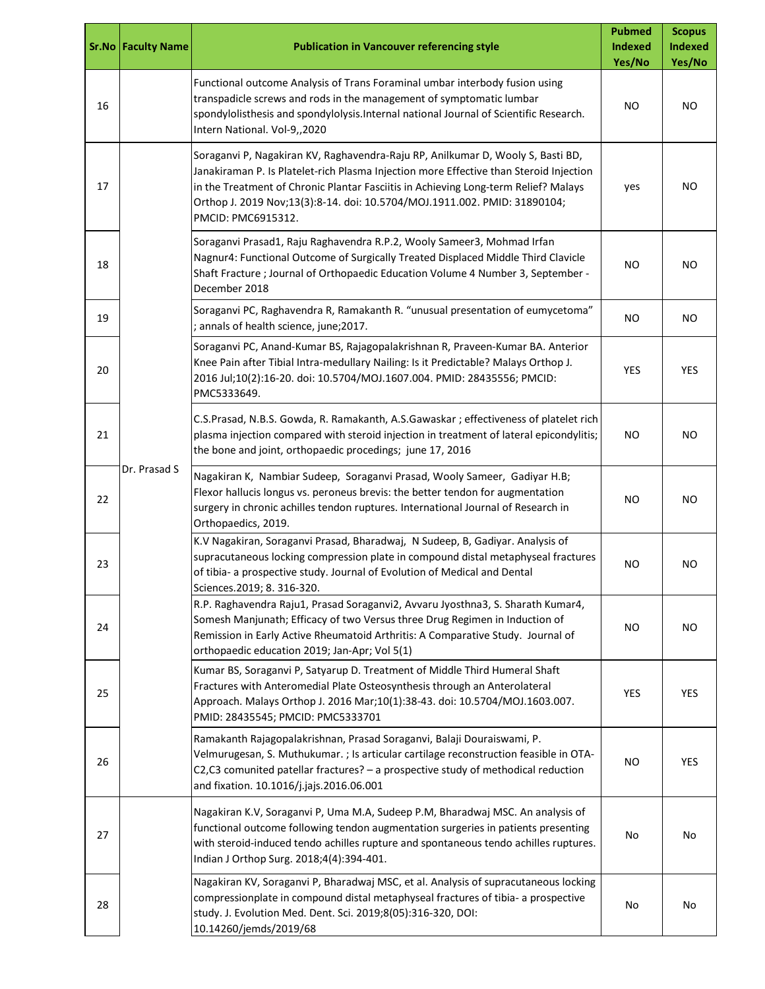|    | <b>Sr.No Faculty Name</b> | <b>Publication in Vancouver referencing style</b>                                                                                                                                                                                                                                                                                                                   | <b>Pubmed</b><br>Indexed<br>Yes/No | <b>Scopus</b><br><b>Indexed</b><br>Yes/No |
|----|---------------------------|---------------------------------------------------------------------------------------------------------------------------------------------------------------------------------------------------------------------------------------------------------------------------------------------------------------------------------------------------------------------|------------------------------------|-------------------------------------------|
| 16 |                           | Functional outcome Analysis of Trans Foraminal umbar interbody fusion using<br>transpadicle screws and rods in the management of symptomatic lumbar<br>spondylolisthesis and spondylolysis. Internal national Journal of Scientific Research.<br>Intern National. Vol-9,,2020                                                                                       | ΝO                                 | <b>NO</b>                                 |
| 17 |                           | Soraganvi P, Nagakiran KV, Raghavendra-Raju RP, Anilkumar D, Wooly S, Basti BD,<br>Janakiraman P. Is Platelet-rich Plasma Injection more Effective than Steroid Injection<br>in the Treatment of Chronic Plantar Fasciitis in Achieving Long-term Relief? Malays<br>Orthop J. 2019 Nov;13(3):8-14. doi: 10.5704/MOJ.1911.002. PMID: 31890104;<br>PMCID: PMC6915312. | yes                                | NO.                                       |
| 18 |                           | Soraganvi Prasad1, Raju Raghavendra R.P.2, Wooly Sameer3, Mohmad Irfan<br>Nagnur4: Functional Outcome of Surgically Treated Displaced Middle Third Clavicle<br>Shaft Fracture ; Journal of Orthopaedic Education Volume 4 Number 3, September -<br>December 2018                                                                                                    | NO                                 | ΝO                                        |
| 19 |                           | Soraganvi PC, Raghavendra R, Ramakanth R. "unusual presentation of eumycetoma"<br>; annals of health science, june;2017.                                                                                                                                                                                                                                            | NO.                                | <b>NO</b>                                 |
| 20 | Dr. Prasad S              | Soraganvi PC, Anand-Kumar BS, Rajagopalakrishnan R, Praveen-Kumar BA. Anterior<br>Knee Pain after Tibial Intra-medullary Nailing: Is it Predictable? Malays Orthop J.<br>2016 Jul;10(2):16-20. doi: 10.5704/MOJ.1607.004. PMID: 28435556; PMCID:<br>PMC5333649.                                                                                                     | <b>YES</b>                         | YES                                       |
| 21 |                           | C.S.Prasad, N.B.S. Gowda, R. Ramakanth, A.S.Gawaskar ; effectiveness of platelet rich<br>plasma injection compared with steroid injection in treatment of lateral epicondylitis;<br>the bone and joint, orthopaedic procedings; june 17, 2016                                                                                                                       | <b>NO</b>                          | <b>NO</b>                                 |
| 22 |                           | Nagakiran K, Nambiar Sudeep, Soraganvi Prasad, Wooly Sameer, Gadiyar H.B;<br>Flexor hallucis longus vs. peroneus brevis: the better tendon for augmentation<br>surgery in chronic achilles tendon ruptures. International Journal of Research in<br>Orthopaedics, 2019.                                                                                             | <b>NO</b>                          | ΝO                                        |
| 23 |                           | K.V Nagakiran, Soraganvi Prasad, Bharadwaj, N Sudeep, B, Gadiyar. Analysis of<br>supracutaneous locking compression plate in compound distal metaphyseal fractures<br>of tibia- a prospective study. Journal of Evolution of Medical and Dental<br>Sciences.2019; 8. 316-320.                                                                                       | <b>NO</b>                          | ΝO                                        |
| 24 |                           | R.P. Raghavendra Raju1, Prasad Soraganvi2, Avvaru Jyosthna3, S. Sharath Kumar4,<br>Somesh Manjunath; Efficacy of two Versus three Drug Regimen in Induction of<br>Remission in Early Active Rheumatoid Arthritis: A Comparative Study. Journal of<br>orthopaedic education 2019; Jan-Apr; Vol 5(1)                                                                  | <b>NO</b>                          | <b>NO</b>                                 |
| 25 |                           | Kumar BS, Soraganvi P, Satyarup D. Treatment of Middle Third Humeral Shaft<br>Fractures with Anteromedial Plate Osteosynthesis through an Anterolateral<br>Approach. Malays Orthop J. 2016 Mar;10(1):38-43. doi: 10.5704/MOJ.1603.007.<br>PMID: 28435545; PMCID: PMC5333701                                                                                         | YES                                | <b>YES</b>                                |
| 26 |                           | Ramakanth Rajagopalakrishnan, Prasad Soraganvi, Balaji Douraiswami, P.<br>Velmurugesan, S. Muthukumar. ; Is articular cartilage reconstruction feasible in OTA-<br>C2,C3 comunited patellar fractures? - a prospective study of methodical reduction<br>and fixation. 10.1016/j.jajs.2016.06.001                                                                    | NO                                 | YES                                       |
| 27 |                           | Nagakiran K.V, Soraganvi P, Uma M.A, Sudeep P.M, Bharadwaj MSC. An analysis of<br>functional outcome following tendon augmentation surgeries in patients presenting<br>with steroid-induced tendo achilles rupture and spontaneous tendo achilles ruptures.<br>Indian J Orthop Surg. 2018;4(4):394-401.                                                             | No                                 | No                                        |
| 28 |                           | Nagakiran KV, Soraganvi P, Bharadwaj MSC, et al. Analysis of supracutaneous locking<br>compressionplate in compound distal metaphyseal fractures of tibia- a prospective<br>study. J. Evolution Med. Dent. Sci. 2019;8(05):316-320, DOI:<br>10.14260/jemds/2019/68                                                                                                  | No                                 | No                                        |